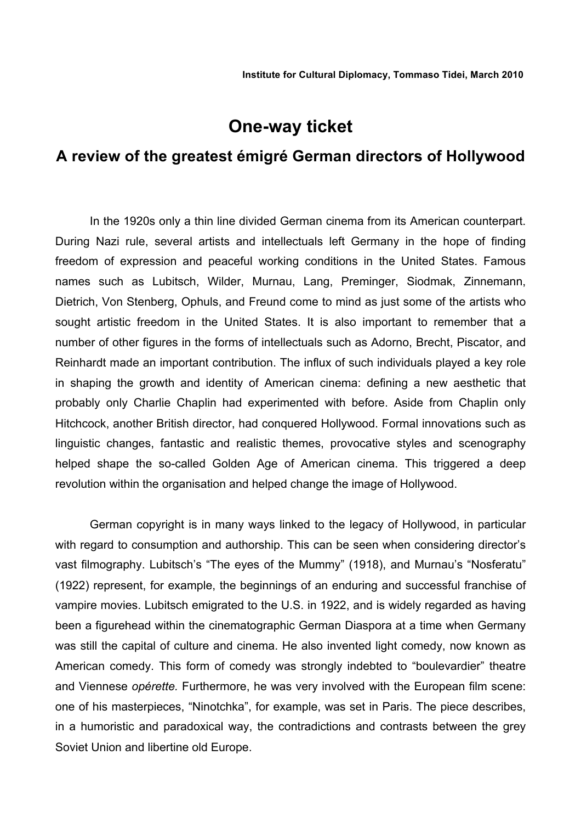# **One-way ticket**

# **A review of the greatest émigré German directors of Hollywood**

In the 1920s only a thin line divided German cinema from its American counterpart. During Nazi rule, several artists and intellectuals left Germany in the hope of finding freedom of expression and peaceful working conditions in the United States. Famous names such as Lubitsch, Wilder, Murnau, Lang, Preminger, Siodmak, Zinnemann, Dietrich, Von Stenberg, Ophuls, and Freund come to mind as just some of the artists who sought artistic freedom in the United States. It is also important to remember that a number of other figures in the forms of intellectuals such as Adorno, Brecht, Piscator, and Reinhardt made an important contribution. The influx of such individuals played a key role in shaping the growth and identity of American cinema: defining a new aesthetic that probably only Charlie Chaplin had experimented with before. Aside from Chaplin only Hitchcock, another British director, had conquered Hollywood. Formal innovations such as linguistic changes, fantastic and realistic themes, provocative styles and scenography helped shape the so-called Golden Age of American cinema. This triggered a deep revolution within the organisation and helped change the image of Hollywood.

German copyright is in many ways linked to the legacy of Hollywood, in particular with regard to consumption and authorship. This can be seen when considering director's vast filmography. Lubitsch's "The eyes of the Mummy" (1918), and Murnau's "Nosferatu" (1922) represent, for example, the beginnings of an enduring and successful franchise of vampire movies. Lubitsch emigrated to the U.S. in 1922, and is widely regarded as having been a figurehead within the cinematographic German Diaspora at a time when Germany was still the capital of culture and cinema. He also invented light comedy, now known as American comedy. This form of comedy was strongly indebted to "boulevardier" theatre and Viennese *opérette.* Furthermore, he was very involved with the European film scene: one of his masterpieces, "Ninotchka", for example, was set in Paris. The piece describes, in a humoristic and paradoxical way, the contradictions and contrasts between the grey Soviet Union and libertine old Europe.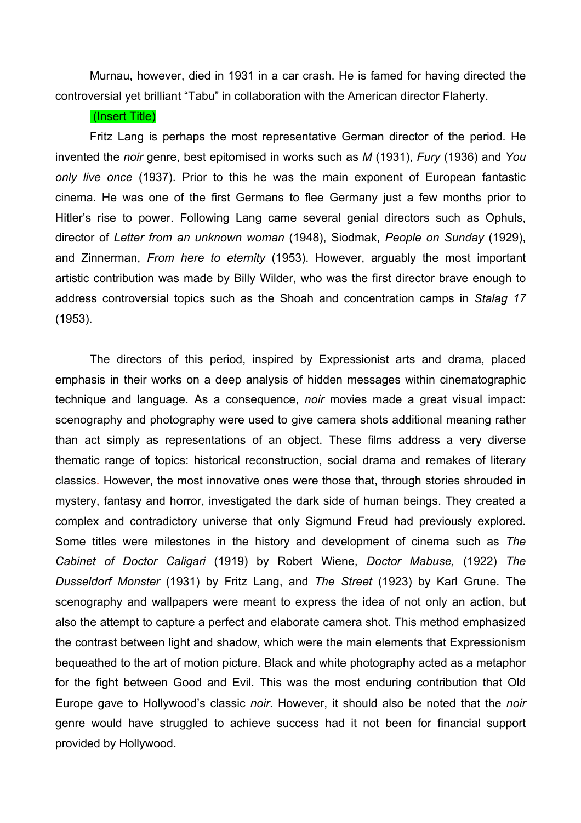Murnau, however, died in 1931 in a car crash. He is famed for having directed the controversial yet brilliant "Tabu" in collaboration with the American director Flaherty.

### (Insert Title)

Fritz Lang is perhaps the most representative German director of the period. He invented the *noir* genre, best epitomised in works such as *M* (1931), *Fury* (1936) and *You only live once* (1937). Prior to this he was the main exponent of European fantastic cinema. He was one of the first Germans to flee Germany just a few months prior to Hitler's rise to power. Following Lang came several genial directors such as Ophuls, director of *Letter from an unknown woman* (1948), Siodmak, *People on Sunday* (1929), and Zinnerman, *From here to eternity* (1953). However, arguably the most important artistic contribution was made by Billy Wilder, who was the first director brave enough to address controversial topics such as the Shoah and concentration camps in *Stalag 17* (1953).

The directors of this period, inspired by Expressionist arts and drama, placed emphasis in their works on a deep analysis of hidden messages within cinematographic technique and language. As a consequence, *noir* movies made a great visual impact: scenography and photography were used to give camera shots additional meaning rather than act simply as representations of an object. These films address a very diverse thematic range of topics: historical reconstruction, social drama and remakes of literary classics. However, the most innovative ones were those that, through stories shrouded in mystery, fantasy and horror, investigated the dark side of human beings. They created a complex and contradictory universe that only Sigmund Freud had previously explored. Some titles were milestones in the history and development of cinema such as *The Cabinet of Doctor Caligari* (1919) by Robert Wiene, *Doctor Mabuse,* (1922) *The Dusseldorf Monster* (1931) by Fritz Lang, and *The Street* (1923) by Karl Grune. The scenography and wallpapers were meant to express the idea of not only an action, but also the attempt to capture a perfect and elaborate camera shot. This method emphasized the contrast between light and shadow, which were the main elements that Expressionism bequeathed to the art of motion picture. Black and white photography acted as a metaphor for the fight between Good and Evil. This was the most enduring contribution that Old Europe gave to Hollywood's classic *noir*. However, it should also be noted that the *noir* genre would have struggled to achieve success had it not been for financial support provided by Hollywood.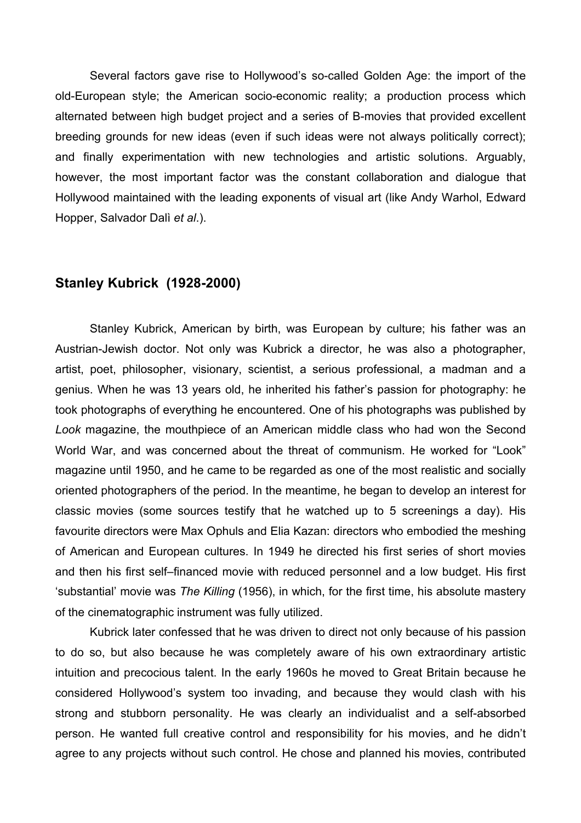Several factors gave rise to Hollywood's so-called Golden Age: the import of the old-European style; the American socio-economic reality; a production process which alternated between high budget project and a series of B-movies that provided excellent breeding grounds for new ideas (even if such ideas were not always politically correct); and finally experimentation with new technologies and artistic solutions. Arguably, however, the most important factor was the constant collaboration and dialogue that Hollywood maintained with the leading exponents of visual art (like Andy Warhol, Edward Hopper, Salvador Dalì *et al*.).

### **Stanley Kubrick (1928-2000)**

Stanley Kubrick, American by birth, was European by culture; his father was an Austrian-Jewish doctor. Not only was Kubrick a director, he was also a photographer, artist, poet, philosopher, visionary, scientist, a serious professional, a madman and a genius. When he was 13 years old, he inherited his father's passion for photography: he took photographs of everything he encountered. One of his photographs was published by *Look* magazine, the mouthpiece of an American middle class who had won the Second World War, and was concerned about the threat of communism. He worked for "Look" magazine until 1950, and he came to be regarded as one of the most realistic and socially oriented photographers of the period. In the meantime, he began to develop an interest for classic movies (some sources testify that he watched up to 5 screenings a day). His favourite directors were Max Ophuls and Elia Kazan: directors who embodied the meshing of American and European cultures. In 1949 he directed his first series of short movies and then his first self–financed movie with reduced personnel and a low budget. His first 'substantial' movie was *The Killing* (1956), in which, for the first time, his absolute mastery of the cinematographic instrument was fully utilized.

Kubrick later confessed that he was driven to direct not only because of his passion to do so, but also because he was completely aware of his own extraordinary artistic intuition and precocious talent. In the early 1960s he moved to Great Britain because he considered Hollywood's system too invading, and because they would clash with his strong and stubborn personality. He was clearly an individualist and a self-absorbed person. He wanted full creative control and responsibility for his movies, and he didn't agree to any projects without such control. He chose and planned his movies, contributed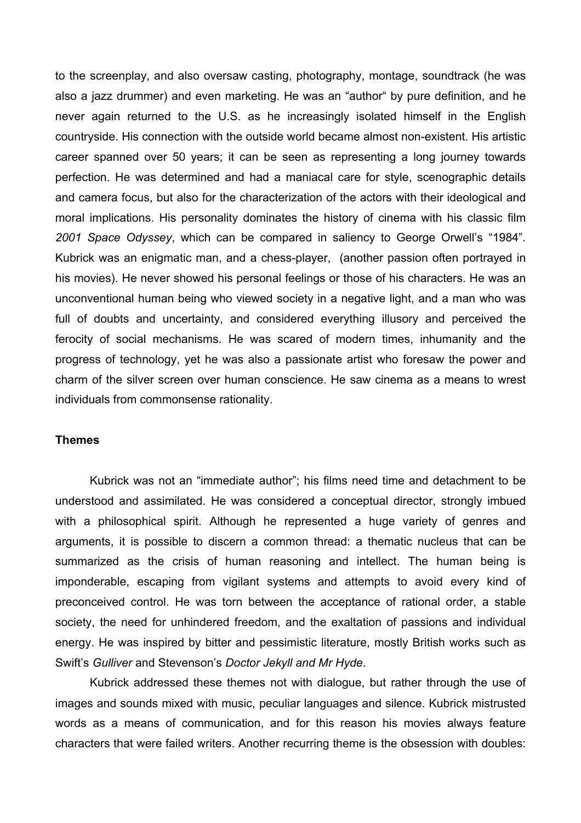to the screenplay, and also oversaw casting, photography, montage, soundtrack (he was also a jazz drummer) and even marketing. He was an "author" by pure definition, and he never again returned to the U.S. as he increasingly isolated himself in the English countryside. His connection with the outside world became almost non-existent. His artistic career spanned over 50 years; it can be seen as representing a long journey towards perfection. He was determined and had a maniacal care for style, scenographic details and camera focus, but also for the characterization of the actors with their ideological and moral implications. His personality dominates the history of cinema with his classic film *2001 Space Odyssey*, which can be compared in saliency to George Orwell's "1984". Kubrick was an enigmatic man, and a chess-player, (another passion often portrayed in his movies). He never showed his personal feelings or those of his characters. He was an unconventional human being who viewed society in a negative light, and a man who was full of doubts and uncertainty, and considered everything illusory and perceived the ferocity of social mechanisms. He was scared of modern times, inhumanity and the progress of technology, yet he was also a passionate artist who foresaw the power and charm of the silver screen over human conscience. He saw cinema as a means to wrest individuals from commonsense rationality.

#### **Themes**

Kubrick was not an "immediate author"; his films need time and detachment to be understood and assimilated. He was considered a conceptual director, strongly imbued with a philosophical spirit. Although he represented a huge variety of genres and arguments, it is possible to discern a common thread: a thematic nucleus that can be summarized as the crisis of human reasoning and intellect. The human being is imponderable, escaping from vigilant systems and attempts to avoid every kind of preconceived control. He was torn between the acceptance of rational order, a stable society, the need for unhindered freedom, and the exaltation of passions and individual energy. He was inspired by bitter and pessimistic literature, mostly British works such as Swift's *Gulliver* and Stevenson's *Doctor Jekyll and Mr Hyde*.

Kubrick addressed these themes not with dialogue, but rather through the use of images and sounds mixed with music, peculiar languages and silence. Kubrick mistrusted words as a means of communication, and for this reason his movies always feature characters that were failed writers. Another recurring theme is the obsession with doubles: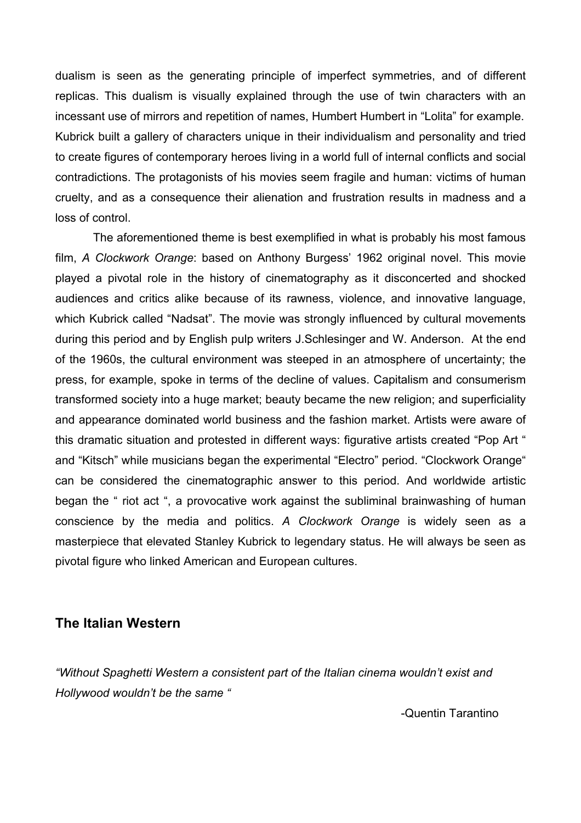dualism is seen as the generating principle of imperfect symmetries, and of different replicas. This dualism is visually explained through the use of twin characters with an incessant use of mirrors and repetition of names, Humbert Humbert in "Lolita" for example. Kubrick built a gallery of characters unique in their individualism and personality and tried to create figures of contemporary heroes living in a world full of internal conflicts and social contradictions. The protagonists of his movies seem fragile and human: victims of human cruelty, and as a consequence their alienation and frustration results in madness and a loss of control.

The aforementioned theme is best exemplified in what is probably his most famous film, *A Clockwork Orange*: based on Anthony Burgess' 1962 original novel. This movie played a pivotal role in the history of cinematography as it disconcerted and shocked audiences and critics alike because of its rawness, violence, and innovative language, which Kubrick called "Nadsat". The movie was strongly influenced by cultural movements during this period and by English pulp writers J.Schlesinger and W. Anderson. At the end of the 1960s, the cultural environment was steeped in an atmosphere of uncertainty; the press, for example, spoke in terms of the decline of values. Capitalism and consumerism transformed society into a huge market; beauty became the new religion; and superficiality and appearance dominated world business and the fashion market. Artists were aware of this dramatic situation and protested in different ways: figurative artists created "Pop Art " and "Kitsch" while musicians began the experimental "Electro" period. "Clockwork Orange" can be considered the cinematographic answer to this period. And worldwide artistic began the " riot act ", a provocative work against the subliminal brainwashing of human conscience by the media and politics. *A Clockwork Orange* is widely seen as a masterpiece that elevated Stanley Kubrick to legendary status. He will always be seen as pivotal figure who linked American and European cultures.

# **The Italian Western**

*"Without Spaghetti Western a consistent part of the Italian cinema wouldn't exist and Hollywood wouldn't be the same "* 

-Quentin Tarantino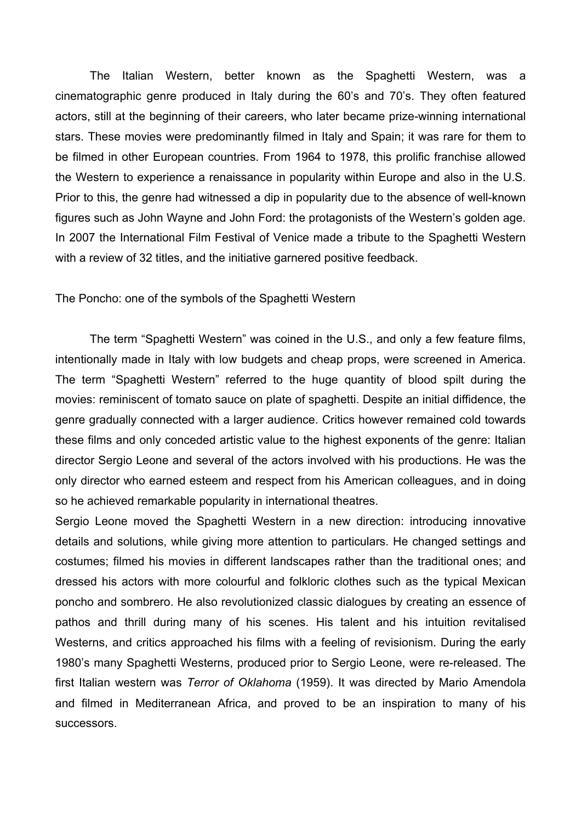The Italian Western, better known as the Spaghetti Western, was a cinematographic genre produced in Italy during the 60's and 70's. They often featured actors, still at the beginning of their careers, who later became prize-winning international stars. These movies were predominantly filmed in Italy and Spain; it was rare for them to be filmed in other European countries. From 1964 to 1978, this prolific franchise allowed the Western to experience a renaissance in popularity within Europe and also in the U.S. Prior to this, the genre had witnessed a dip in popularity due to the absence of well-known figures such as John Wayne and John Ford: the protagonists of the Western's golden age. In 2007 the International Film Festival of Venice made a tribute to the Spaghetti Western with a review of 32 titles, and the initiative garnered positive feedback.

The Poncho: one of the symbols of the Spaghetti Western

The term "Spaghetti Western" was coined in the U.S., and only a few feature films, intentionally made in Italy with low budgets and cheap props, were screened in America. The term "Spaghetti Western" referred to the huge quantity of blood spilt during the movies: reminiscent of tomato sauce on plate of spaghetti. Despite an initial diffidence, the genre gradually connected with a larger audience. Critics however remained cold towards these films and only conceded artistic value to the highest exponents of the genre: Italian director Sergio Leone and several of the actors involved with his productions. He was the only director who earned esteem and respect from his American colleagues, and in doing so he achieved remarkable popularity in international theatres.

Sergio Leone moved the Spaghetti Western in a new direction: introducing innovative details and solutions, while giving more attention to particulars. He changed settings and costumes; filmed his movies in different landscapes rather than the traditional ones; and dressed his actors with more colourful and folkloric clothes such as the typical Mexican poncho and sombrero. He also revolutionized classic dialogues by creating an essence of pathos and thrill during many of his scenes. His talent and his intuition revitalised Westerns, and critics approached his films with a feeling of revisionism. During the early 1980's many Spaghetti Westerns, produced prior to Sergio Leone, were re-released. The first Italian western was *Terror of Oklahoma* (1959). It was directed by Mario Amendola and filmed in Mediterranean Africa, and proved to be an inspiration to many of his successors.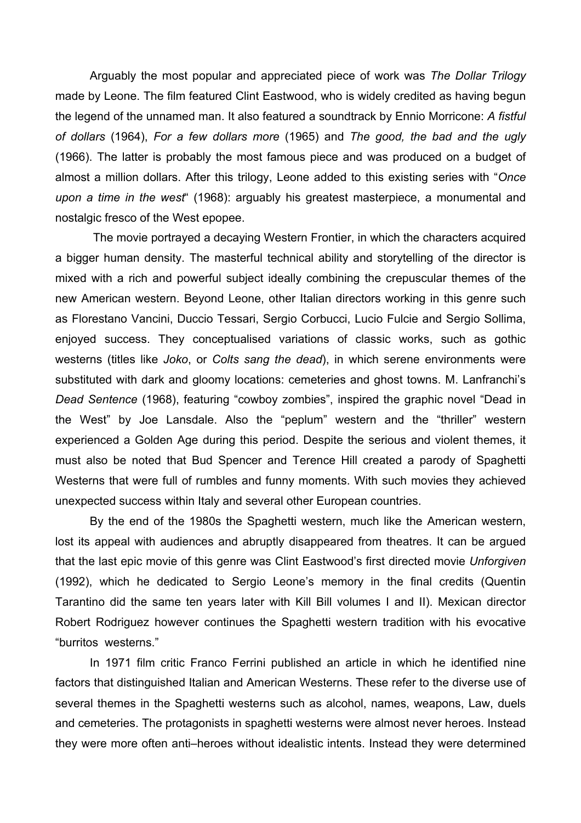Arguably the most popular and appreciated piece of work was *The Dollar Trilogy* made by Leone. The film featured Clint Eastwood, who is widely credited as having begun the legend of the unnamed man. It also featured a soundtrack by Ennio Morricone: *A fistful of dollars* (1964), *For a few dollars more* (1965) and *The good, the bad and the ugly* (1966). The latter is probably the most famous piece and was produced on a budget of almost a million dollars. After this trilogy, Leone added to this existing series with "*Once upon a time in the west*" (1968): arguably his greatest masterpiece, a monumental and nostalgic fresco of the West epopee.

The movie portrayed a decaying Western Frontier, in which the characters acquired a bigger human density. The masterful technical ability and storytelling of the director is mixed with a rich and powerful subject ideally combining the crepuscular themes of the new American western. Beyond Leone, other Italian directors working in this genre such as Florestano Vancini, Duccio Tessari, Sergio Corbucci, Lucio Fulcie and Sergio Sollima, enjoyed success. They conceptualised variations of classic works, such as gothic westerns (titles like *Joko*, or *Colts sang the dead*), in which serene environments were substituted with dark and gloomy locations: cemeteries and ghost towns. M. Lanfranchi's *Dead Sentence* (1968), featuring "cowboy zombies", inspired the graphic novel "Dead in the West" by Joe Lansdale. Also the "peplum" western and the "thriller" western experienced a Golden Age during this period. Despite the serious and violent themes, it must also be noted that Bud Spencer and Terence Hill created a parody of Spaghetti Westerns that were full of rumbles and funny moments. With such movies they achieved unexpected success within Italy and several other European countries.

By the end of the 1980s the Spaghetti western, much like the American western, lost its appeal with audiences and abruptly disappeared from theatres. It can be argued that the last epic movie of this genre was Clint Eastwood's first directed movie *Unforgiven* (1992), which he dedicated to Sergio Leone's memory in the final credits (Quentin Tarantino did the same ten years later with Kill Bill volumes I and II). Mexican director Robert Rodriguez however continues the Spaghetti western tradition with his evocative "burritos westerns."

In 1971 film critic Franco Ferrini published an article in which he identified nine factors that distinguished Italian and American Westerns. These refer to the diverse use of several themes in the Spaghetti westerns such as alcohol, names, weapons, Law, duels and cemeteries. The protagonists in spaghetti westerns were almost never heroes. Instead they were more often anti–heroes without idealistic intents. Instead they were determined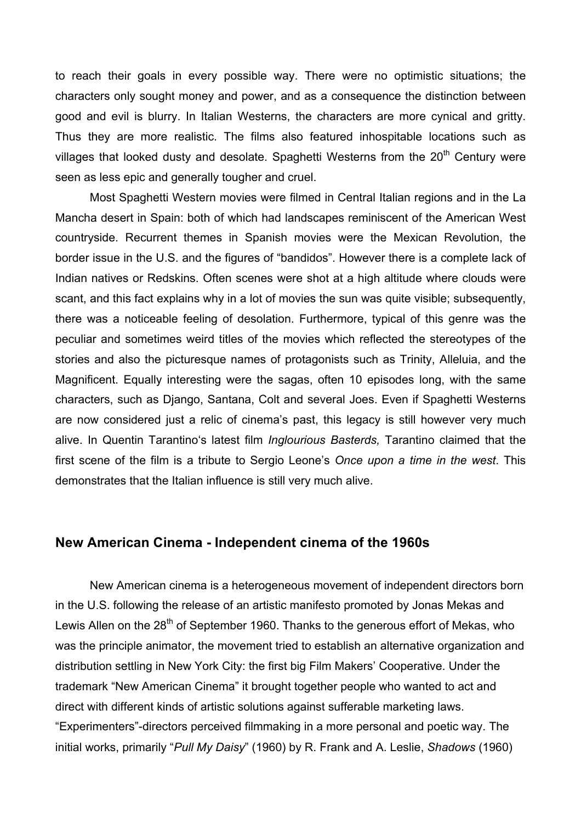to reach their goals in every possible way. There were no optimistic situations; the characters only sought money and power, and as a consequence the distinction between good and evil is blurry. In Italian Westerns, the characters are more cynical and gritty. Thus they are more realistic. The films also featured inhospitable locations such as villages that looked dusty and desolate. Spaghetti Westerns from the 20<sup>th</sup> Century were seen as less epic and generally tougher and cruel.

Most Spaghetti Western movies were filmed in Central Italian regions and in the La Mancha desert in Spain: both of which had landscapes reminiscent of the American West countryside. Recurrent themes in Spanish movies were the Mexican Revolution, the border issue in the U.S. and the figures of "bandidos". However there is a complete lack of Indian natives or Redskins. Often scenes were shot at a high altitude where clouds were scant, and this fact explains why in a lot of movies the sun was quite visible; subsequently, there was a noticeable feeling of desolation. Furthermore, typical of this genre was the peculiar and sometimes weird titles of the movies which reflected the stereotypes of the stories and also the picturesque names of protagonists such as Trinity, Alleluia, and the Magnificent. Equally interesting were the sagas, often 10 episodes long, with the same characters, such as Django, Santana, Colt and several Joes. Even if Spaghetti Westerns are now considered just a relic of cinema's past, this legacy is still however very much alive. In Quentin Tarantino's latest film *Inglourious Basterds,* Tarantino claimed that the first scene of the film is a tribute to Sergio Leone's *Once upon a time in the west*. This demonstrates that the Italian influence is still very much alive.

### **New American Cinema - Independent cinema of the 1960s**

New American cinema is a heterogeneous movement of independent directors born in the U.S. following the release of an artistic manifesto promoted by Jonas Mekas and Lewis Allen on the  $28<sup>th</sup>$  of September 1960. Thanks to the generous effort of Mekas, who was the principle animator, the movement tried to establish an alternative organization and distribution settling in New York City: the first big Film Makers' Cooperative. Under the trademark "New American Cinema" it brought together people who wanted to act and direct with different kinds of artistic solutions against sufferable marketing laws. "Experimenters"-directors perceived filmmaking in a more personal and poetic way. The initial works, primarily "*Pull My Daisy*" (1960) by R. Frank and A. Leslie, *Shadows* (1960)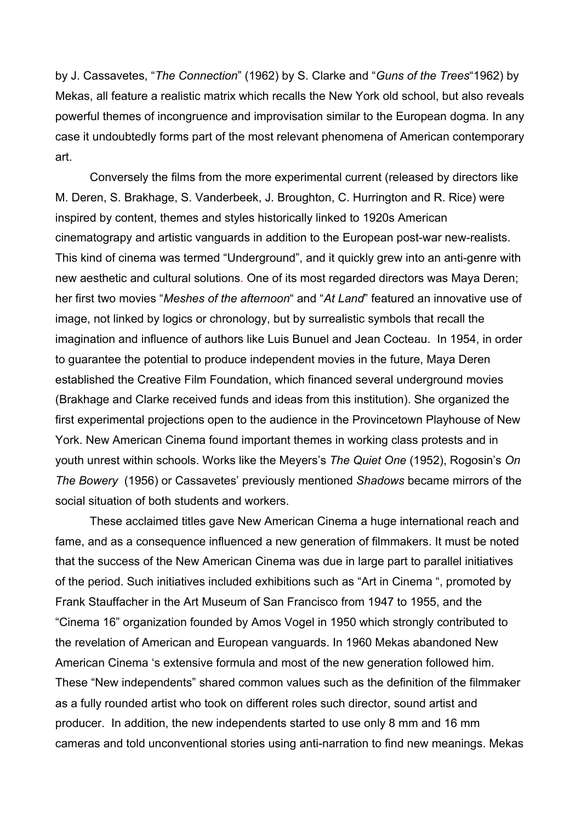by J. Cassavetes, "*The Connection*" (1962) by S. Clarke and "*Guns of the Trees*"1962) by Mekas, all feature a realistic matrix which recalls the New York old school, but also reveals powerful themes of incongruence and improvisation similar to the European dogma. In any case it undoubtedly forms part of the most relevant phenomena of American contemporary art.

Conversely the films from the more experimental current (released by directors like M. Deren, S. Brakhage, S. Vanderbeek, J. Broughton, C. Hurrington and R. Rice) were inspired by content, themes and styles historically linked to 1920s American cinematograpy and artistic vanguards in addition to the European post-war new-realists. This kind of cinema was termed "Underground", and it quickly grew into an anti-genre with new aesthetic and cultural solutions. One of its most regarded directors was Maya Deren; her first two movies "*Meshes of the afternoon*" and "*At Land*" featured an innovative use of image, not linked by logics or chronology, but by surrealistic symbols that recall the imagination and influence of authors like Luis Bunuel and Jean Cocteau. In 1954, in order to guarantee the potential to produce independent movies in the future, Maya Deren established the Creative Film Foundation, which financed several underground movies (Brakhage and Clarke received funds and ideas from this institution). She organized the first experimental projections open to the audience in the Provincetown Playhouse of New York. New American Cinema found important themes in working class protests and in youth unrest within schools. Works like the Meyers's *The Quiet One* (1952), Rogosin's *On The Bowery* (1956) or Cassavetes' previously mentioned *Shadows* became mirrors of the social situation of both students and workers.

These acclaimed titles gave New American Cinema a huge international reach and fame, and as a consequence influenced a new generation of filmmakers. It must be noted that the success of the New American Cinema was due in large part to parallel initiatives of the period. Such initiatives included exhibitions such as "Art in Cinema ", promoted by Frank Stauffacher in the Art Museum of San Francisco from 1947 to 1955, and the "Cinema 16" organization founded by Amos Vogel in 1950 which strongly contributed to the revelation of American and European vanguards. In 1960 Mekas abandoned New American Cinema 's extensive formula and most of the new generation followed him. These "New independents" shared common values such as the definition of the filmmaker as a fully rounded artist who took on different roles such director, sound artist and producer. In addition, the new independents started to use only 8 mm and 16 mm cameras and told unconventional stories using anti-narration to find new meanings. Mekas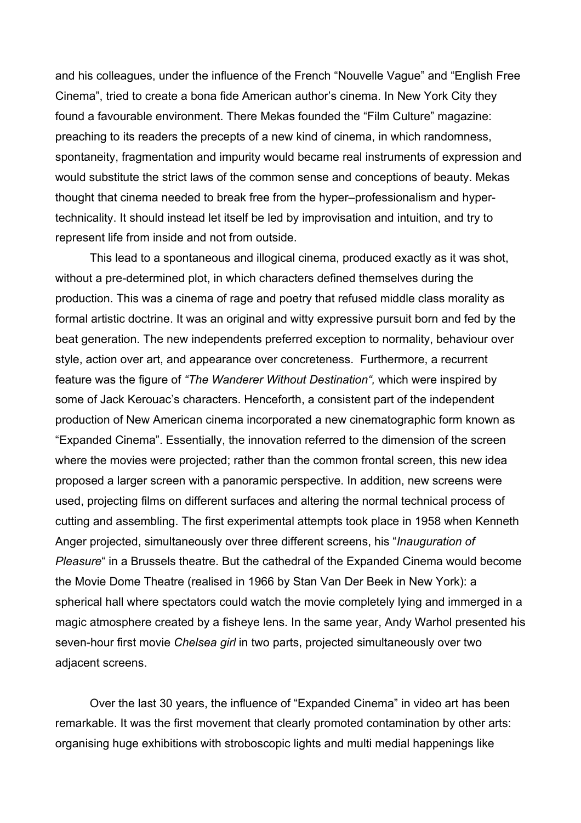and his colleagues, under the influence of the French "Nouvelle Vague" and "English Free Cinema", tried to create a bona fide American author's cinema. In New York City they found a favourable environment. There Mekas founded the "Film Culture" magazine: preaching to its readers the precepts of a new kind of cinema, in which randomness, spontaneity, fragmentation and impurity would became real instruments of expression and would substitute the strict laws of the common sense and conceptions of beauty. Mekas thought that cinema needed to break free from the hyper–professionalism and hypertechnicality. It should instead let itself be led by improvisation and intuition, and try to represent life from inside and not from outside.

This lead to a spontaneous and illogical cinema, produced exactly as it was shot, without a pre-determined plot, in which characters defined themselves during the production. This was a cinema of rage and poetry that refused middle class morality as formal artistic doctrine. It was an original and witty expressive pursuit born and fed by the beat generation. The new independents preferred exception to normality, behaviour over style, action over art, and appearance over concreteness. Furthermore, a recurrent feature was the figure of *"The Wanderer Without Destination",* which were inspired by some of Jack Kerouac's characters. Henceforth, a consistent part of the independent production of New American cinema incorporated a new cinematographic form known as "Expanded Cinema". Essentially, the innovation referred to the dimension of the screen where the movies were projected; rather than the common frontal screen, this new idea proposed a larger screen with a panoramic perspective. In addition, new screens were used, projecting films on different surfaces and altering the normal technical process of cutting and assembling. The first experimental attempts took place in 1958 when Kenneth Anger projected, simultaneously over three different screens, his "*Inauguration of Pleasure*" in a Brussels theatre. But the cathedral of the Expanded Cinema would become the Movie Dome Theatre (realised in 1966 by Stan Van Der Beek in New York): a spherical hall where spectators could watch the movie completely lying and immerged in a magic atmosphere created by a fisheye lens. In the same year, Andy Warhol presented his seven-hour first movie *Chelsea girl* in two parts, projected simultaneously over two adjacent screens.

Over the last 30 years, the influence of "Expanded Cinema" in video art has been remarkable. It was the first movement that clearly promoted contamination by other arts: organising huge exhibitions with stroboscopic lights and multi medial happenings like